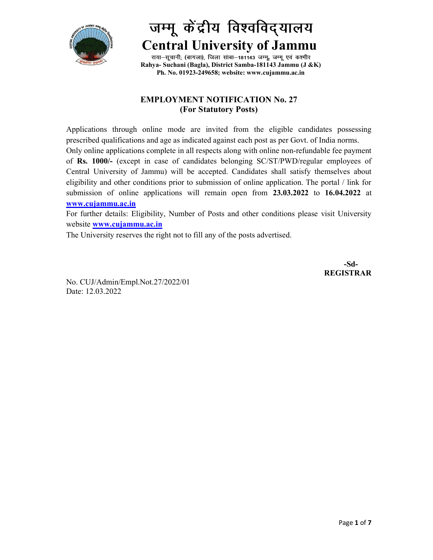

# जम्मू केंद्रीय विश्वविद्यालय Central University of Jammu

राया-सूचानी; (बागला), जिला सांबा-181143 जम्मू, जम्मू एवं कश्मीर Rahya- Suchani (Bagla), District Samba-181143 Jammu (J &K) Ph. No. 01923-249658; website: www.cujammu.ac.in

## EMPLOYMENT NOTIFICATION No. 27 (For Statutory Posts)

Applications through online mode are invited from the eligible candidates possessing prescribed qualifications and age as indicated against each post as per Govt. of India norms. Only online applications complete in all respects along with online non-refundable fee payment of Rs. 1000/- (except in case of candidates belonging SC/ST/PWD/regular employees of Central University of Jammu) will be accepted. Candidates shall satisfy themselves about eligibility and other conditions prior to submission of online application. The portal / link for submission of online applications will remain open from 23.03.2022 to 16.04.2022 at www.cujammu.ac.in

For further details: Eligibility, Number of Posts and other conditions please visit University website **www.cujammu.ac.in** 

The University reserves the right not to fill any of the posts advertised.

 -Sd-REGISTRAR

No. CUJ/Admin/Empl.Not.27/2022/01 Date: 12.03.2022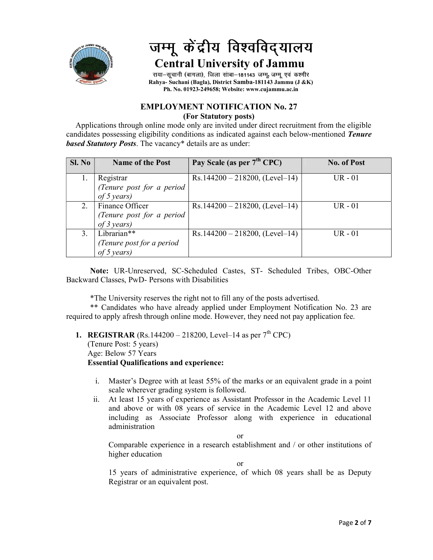

## जम्मू केंद्रीय विश्वविद्यालय Central University of Jammu

राया-सूचानी (बागला), जिला सांबा-181143 जम्मू, जम्मू एवं कश्मीर Rahya- Suchani (Bagla), District Samba-181143 Jammu (J &K) Ph. No. 01923-249658; Website: www.cujammu.ac.in

### EMPLOYMENT NOTIFICATION No. 27 (For Statutory posts)

 Applications through online mode only are invited under direct recruitment from the eligible candidates possessing eligibility conditions as indicated against each below-mentioned Tenure **based Statutory Posts.** The vacancy\* details are as under:

| SI. No | <b>Name of the Post</b>   | Pay Scale (as per 7 <sup>th</sup> CPC) | <b>No. of Post</b> |
|--------|---------------------------|----------------------------------------|--------------------|
|        |                           |                                        | $UR - 01$          |
|        | Registrar                 | $Rs.144200 - 218200$ , (Level-14)      |                    |
|        | (Tenure post for a period |                                        |                    |
|        | of 5 years)               |                                        |                    |
| 2.     | Finance Officer           | $Rs.144200 - 218200$ , (Level–14)      | $UR - 01$          |
|        | (Tenure post for a period |                                        |                    |
|        | of $3$ years)             |                                        |                    |
| 3.     | Librarian**               | $Rs.144200 - 218200$ , (Level–14)      | $UR - 01$          |
|        | (Tenure post for a period |                                        |                    |
|        | of 5 years)               |                                        |                    |

Note: UR-Unreserved, SC-Scheduled Castes, ST- Scheduled Tribes, OBC-Other Backward Classes, PwD- Persons with Disabilities

\*The University reserves the right not to fill any of the posts advertised.

\*\* Candidates who have already applied under Employment Notification No. 23 are required to apply afresh through online mode. However, they need not pay application fee.

## **1. REGISTRAR** (Rs. 144200 – 218200, Level–14 as per  $7^{th}$  CPC)

(Tenure Post: 5 years)

Age: Below 57 Years

## Essential Qualifications and experience:

- i. Master's Degree with at least 55% of the marks or an equivalent grade in a point scale wherever grading system is followed.
- ii. At least 15 years of experience as Assistant Professor in the Academic Level 11 and above or with 08 years of service in the Academic Level 12 and above including as Associate Professor along with experience in educational administration

or

Comparable experience in a research establishment and / or other institutions of higher education

or

15 years of administrative experience, of which 08 years shall be as Deputy Registrar or an equivalent post.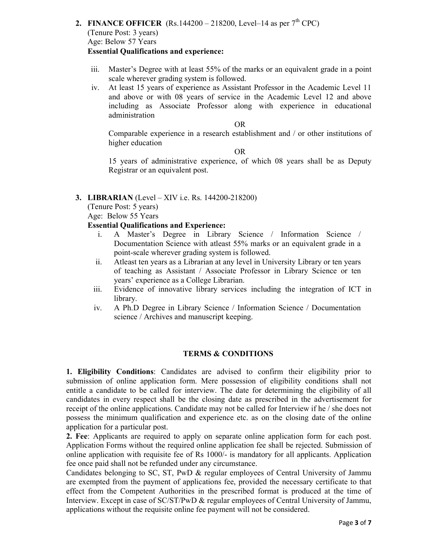- 2. FINANCE OFFICER (Rs.144200 218200, Level–14 as per  $7<sup>th</sup>$  CPC) (Tenure Post: 3 years) Age: Below 57 Years Essential Qualifications and experience:
	- iii. Master's Degree with at least 55% of the marks or an equivalent grade in a point scale wherever grading system is followed.
	- iv. At least 15 years of experience as Assistant Professor in the Academic Level 11 and above or with 08 years of service in the Academic Level 12 and above including as Associate Professor along with experience in educational administration

### OR

Comparable experience in a research establishment and / or other institutions of higher education

OR

15 years of administrative experience, of which 08 years shall be as Deputy Registrar or an equivalent post.

#### 3. LIBRARIAN (Level – XIV i.e. Rs. 144200-218200)

(Tenure Post: 5 years)

Age: Below 55 Years

#### Essential Qualifications and Experience:

- i. A Master's Degree in Library Science / Information Science / Documentation Science with atleast 55% marks or an equivalent grade in a point-scale wherever grading system is followed.
- ii. Atleast ten years as a Librarian at any level in University Library or ten years of teaching as Assistant / Associate Professor in Library Science or ten years' experience as a College Librarian.
- iii. Evidence of innovative library services including the integration of ICT in library.
- iv. A Ph.D Degree in Library Science / Information Science / Documentation science / Archives and manuscript keeping.

#### TERMS & CONDITIONS

1. Eligibility Conditions: Candidates are advised to confirm their eligibility prior to submission of online application form. Mere possession of eligibility conditions shall not entitle a candidate to be called for interview. The date for determining the eligibility of all candidates in every respect shall be the closing date as prescribed in the advertisement for receipt of the online applications. Candidate may not be called for Interview if he / she does not possess the minimum qualification and experience etc. as on the closing date of the online application for a particular post.

2. Fee: Applicants are required to apply on separate online application form for each post. Application Forms without the required online application fee shall be rejected. Submission of online application with requisite fee of Rs 1000/- is mandatory for all applicants. Application fee once paid shall not be refunded under any circumstance.

Candidates belonging to SC, ST, PwD & regular employees of Central University of Jammu are exempted from the payment of applications fee, provided the necessary certificate to that effect from the Competent Authorities in the prescribed format is produced at the time of Interview. Except in case of SC/ST/PwD & regular employees of Central University of Jammu, applications without the requisite online fee payment will not be considered.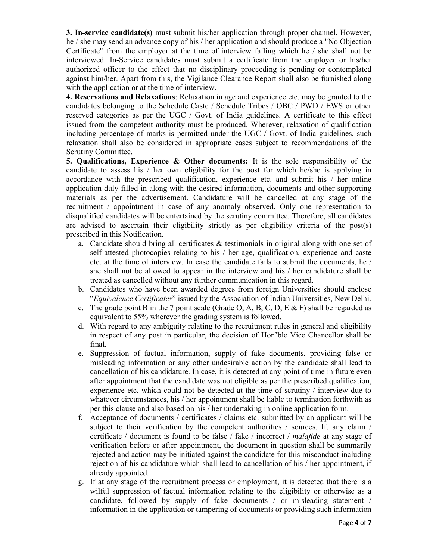**3. In-service candidate(s)** must submit his/her application through proper channel. However, he / she may send an advance copy of his / her application and should produce a "No Objection Certificate" from the employer at the time of interview failing which he / she shall not be interviewed. In-Service candidates must submit a certificate from the employer or his/her authorized officer to the effect that no disciplinary proceeding is pending or contemplated against him/her. Apart from this, the Vigilance Clearance Report shall also be furnished along with the application or at the time of interview.

4. Reservations and Relaxations: Relaxation in age and experience etc. may be granted to the candidates belonging to the Schedule Caste / Schedule Tribes / OBC / PWD / EWS or other reserved categories as per the UGC / Govt. of India guidelines. A certificate to this effect issued from the competent authority must be produced. Wherever, relaxation of qualification including percentage of marks is permitted under the UGC / Govt. of India guidelines, such relaxation shall also be considered in appropriate cases subject to recommendations of the Scrutiny Committee.

5. Qualifications, Experience  $\&$  Other documents: It is the sole responsibility of the candidate to assess his / her own eligibility for the post for which he/she is applying in accordance with the prescribed qualification, experience etc. and submit his / her online application duly filled-in along with the desired information, documents and other supporting materials as per the advertisement. Candidature will be cancelled at any stage of the recruitment / appointment in case of any anomaly observed. Only one representation to disqualified candidates will be entertained by the scrutiny committee. Therefore, all candidates are advised to ascertain their eligibility strictly as per eligibility criteria of the post(s) prescribed in this Notification.

- a. Candidate should bring all certificates  $\&$  testimonials in original along with one set of self-attested photocopies relating to his / her age, qualification, experience and caste etc. at the time of interview. In case the candidate fails to submit the documents, he / she shall not be allowed to appear in the interview and his / her candidature shall be treated as cancelled without any further communication in this regard.
- b. Candidates who have been awarded degrees from foreign Universities should enclose "Equivalence Certificates" issued by the Association of Indian Universities, New Delhi.
- c. The grade point B in the 7 point scale (Grade O, A, B, C, D, E & F) shall be regarded as equivalent to 55% wherever the grading system is followed.
- d. With regard to any ambiguity relating to the recruitment rules in general and eligibility in respect of any post in particular, the decision of Hon'ble Vice Chancellor shall be final.
- e. Suppression of factual information, supply of fake documents, providing false or misleading information or any other undesirable action by the candidate shall lead to cancellation of his candidature. In case, it is detected at any point of time in future even after appointment that the candidate was not eligible as per the prescribed qualification, experience etc. which could not be detected at the time of scrutiny / interview due to whatever circumstances, his / her appointment shall be liable to termination forthwith as per this clause and also based on his / her undertaking in online application form.
- f. Acceptance of documents / certificates / claims etc. submitted by an applicant will be subject to their verification by the competent authorities / sources. If, any claim / certificate / document is found to be false / fake / incorrect / malafide at any stage of verification before or after appointment, the document in question shall be summarily rejected and action may be initiated against the candidate for this misconduct including rejection of his candidature which shall lead to cancellation of his / her appointment, if already appointed.
- g. If at any stage of the recruitment process or employment, it is detected that there is a wilful suppression of factual information relating to the eligibility or otherwise as a candidate, followed by supply of fake documents / or misleading statement / information in the application or tampering of documents or providing such information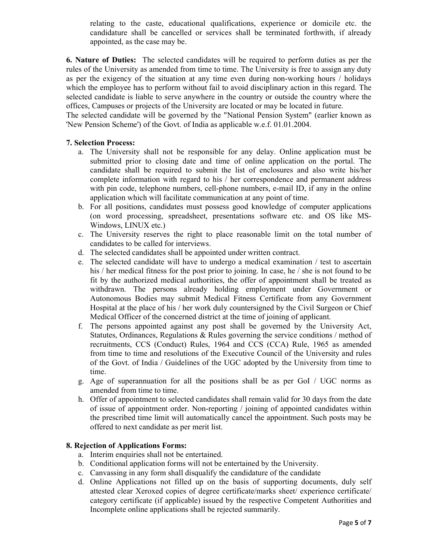relating to the caste, educational qualifications, experience or domicile etc. the candidature shall be cancelled or services shall be terminated forthwith, if already appointed, as the case may be.

6. Nature of Duties: The selected candidates will be required to perform duties as per the rules of the University as amended from time to time. The University is free to assign any duty as per the exigency of the situation at any time even during non-working hours / holidays which the employee has to perform without fail to avoid disciplinary action in this regard. The selected candidate is liable to serve anywhere in the country or outside the country where the offices, Campuses or projects of the University are located or may be located in future.

The selected candidate will be governed by the "National Pension System" (earlier known as 'New Pension Scheme') of the Govt. of India as applicable w.e.f. 01.01.2004.

#### 7. Selection Process:

- a. The University shall not be responsible for any delay. Online application must be submitted prior to closing date and time of online application on the portal. The candidate shall be required to submit the list of enclosures and also write his/her complete information with regard to his / her correspondence and permanent address with pin code, telephone numbers, cell-phone numbers, e-mail ID, if any in the online application which will facilitate communication at any point of time.
- b. For all positions, candidates must possess good knowledge of computer applications (on word processing, spreadsheet, presentations software etc. and OS like MS-Windows, LINUX etc.)
- c. The University reserves the right to place reasonable limit on the total number of candidates to be called for interviews.
- d. The selected candidates shall be appointed under written contract.
- e. The selected candidate will have to undergo a medical examination / test to ascertain his / her medical fitness for the post prior to joining. In case, he / she is not found to be fit by the authorized medical authorities, the offer of appointment shall be treated as withdrawn. The persons already holding employment under Government or Autonomous Bodies may submit Medical Fitness Certificate from any Government Hospital at the place of his / her work duly countersigned by the Civil Surgeon or Chief Medical Officer of the concerned district at the time of joining of applicant.
- f. The persons appointed against any post shall be governed by the University Act, Statutes, Ordinances, Regulations & Rules governing the service conditions / method of recruitments, CCS (Conduct) Rules, 1964 and CCS (CCA) Rule, 1965 as amended from time to time and resolutions of the Executive Council of the University and rules of the Govt. of India / Guidelines of the UGC adopted by the University from time to time.
- g. Age of superannuation for all the positions shall be as per GoI / UGC norms as amended from time to time.
- h. Offer of appointment to selected candidates shall remain valid for 30 days from the date of issue of appointment order. Non-reporting / joining of appointed candidates within the prescribed time limit will automatically cancel the appointment. Such posts may be offered to next candidate as per merit list.

#### 8. Rejection of Applications Forms:

- a. Interim enquiries shall not be entertained.
- b. Conditional application forms will not be entertained by the University.
- c. Canvassing in any form shall disqualify the candidature of the candidate
- d. Online Applications not filled up on the basis of supporting documents, duly self attested clear Xeroxed copies of degree certificate/marks sheet/ experience certificate/ category certificate (if applicable) issued by the respective Competent Authorities and Incomplete online applications shall be rejected summarily.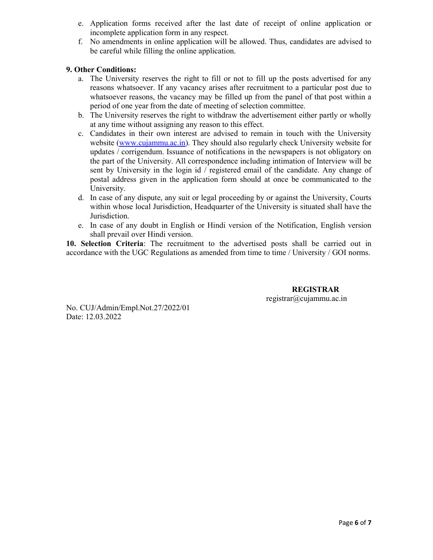- e. Application forms received after the last date of receipt of online application or incomplete application form in any respect.
- f. No amendments in online application will be allowed. Thus, candidates are advised to be careful while filling the online application.

## 9. Other Conditions:

- a. The University reserves the right to fill or not to fill up the posts advertised for any reasons whatsoever. If any vacancy arises after recruitment to a particular post due to whatsoever reasons, the vacancy may be filled up from the panel of that post within a period of one year from the date of meeting of selection committee.
- b. The University reserves the right to withdraw the advertisement either partly or wholly at any time without assigning any reason to this effect.
- c. Candidates in their own interest are advised to remain in touch with the University website (www.cujammu.ac.in). They should also regularly check University website for updates / corrigendum. Issuance of notifications in the newspapers is not obligatory on the part of the University. All correspondence including intimation of Interview will be sent by University in the login id / registered email of the candidate. Any change of postal address given in the application form should at once be communicated to the University.
- d. In case of any dispute, any suit or legal proceeding by or against the University, Courts within whose local Jurisdiction, Headquarter of the University is situated shall have the Jurisdiction.
- e. In case of any doubt in English or Hindi version of the Notification, English version shall prevail over Hindi version.

10. Selection Criteria: The recruitment to the advertised posts shall be carried out in accordance with the UGC Regulations as amended from time to time / University / GOI norms.

> REGISTRAR registrar@cujammu.ac.in

No. CUJ/Admin/Empl.Not.27/2022/01 Date: 12.03.2022